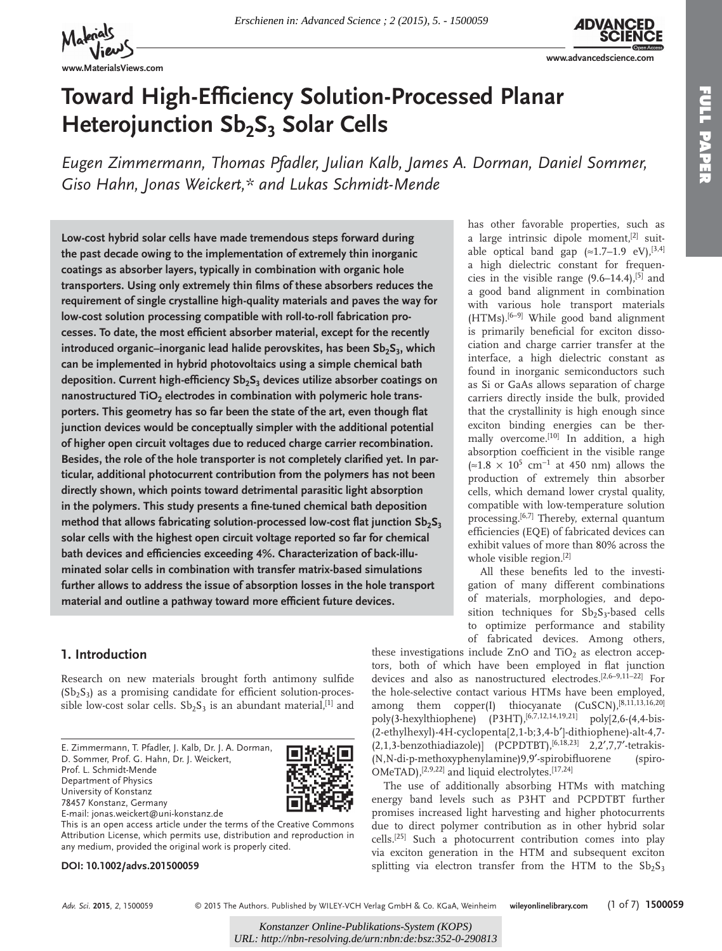

**www.MaterialsViews.com**



**FULL PAPER** 

**TULL PAPER** 

**www.advancedscience.com**

has other favorable properties, such as a large intrinsic dipole moment, $[2]$  suitable optical band gap  $(\approx 1.7-1.9 \text{ eV})$ , [3,4] a high dielectric constant for frequencies in the visible range  $(9.6-14.4),$ <sup>[5]</sup> and a good band alignment in combination with various hole transport materials  $(HTMs).$  [6-9] While good band alignment is primarily beneficial for exciton dissociation and charge carrier transfer at the interface, a high dielectric constant as found in inorganic semiconductors such as Si or GaAs allows separation of charge carriers directly inside the bulk, provided that the crystallinity is high enough since exciton binding energies can be thermally overcome.<sup>[10]</sup> In addition, a high absorption coefficient in the visible range  $(≈1.8 × 10<sup>5</sup> cm<sup>-1</sup> at 450 nm)$  allows the production of extremely thin absorber cells, which demand lower crystal quality, compatible with low-temperature solution processing.<sup>[6,7]</sup> Thereby, external quantum efficiencies (EQE) of fabricated devices can exhibit values of more than 80% across the

whole visible region. $[2]$ 

these investigations include ZnO and  $TiO<sub>2</sub>$  as electron acceptors, both of which have been employed in flat junction devices and also as nanostructured electrodes.<sup>[2,6-9,11-22]</sup> For the hole-selective contact various HTMs have been employed, among them copper(I) thiocyanate  $(CuSCN)$ , [8,11,13,16,20] poly(3-hexylthiophene)  $(P3HT)$ ,  $[6,7,12,14,19,21]$  poly $[2,6-(4,4-bis-$ (2-ethylhexyl)-4H-cyclopenta[2,1-b;3,4-b′]-dithiophene)-alt-4,7-  $(2,1,3\text{-}benzothiadiazole)$  (PCPDTBT),  $[6,18,23]$  2,2', 7, 7'-tetrakis-(N,N-di-p-methoxyphenylamine)9,9′-spirobifl uorene (spiro-

 The use of additionally absorbing HTMs with matching energy band levels such as P3HT and PCPDTBT further promises increased light harvesting and higher photocurrents due to direct polymer contribution as in other hybrid solar cells.<sup>[25]</sup> Such a photocurrent contribution comes into play via exciton generation in the HTM and subsequent exciton splitting via electron transfer from the HTM to the  $Sb_2S_3$ 

 $OMeTAD$ ,  $[2,9,22]$  and liquid electrolytes.  $[17,24]$ 

All these benefits led to the investigation of many different combinations of materials, morphologies, and deposition techniques for  $Sb_2S_3$ -based cells to optimize performance and stability of fabricated devices. Among others,

# **Toward High-Efficiency Solution-Processed Planar Heterojunction Sb<sub>2</sub>S<sub>3</sub> Solar Cells**

Eugen Zimmermann, Thomas Pfadler, Julian Kalb, James A. Dorman, Daniel Sommer,  *Giso Hahn , Jonas Weickert ,\* and Lukas Schmidt-Mende* 

 **Low-cost hybrid solar cells have made tremendous steps forward during the past decade owing to the implementation of extremely thin inorganic coatings as absorber layers, typically in combination with organic hole**  transporters. Using only extremely thin films of these absorbers reduces the **requirement of single crystalline high-quality materials and paves the way for low-cost solution processing compatible with roll-to-roll fabrication pro**cesses. To date, the most efficient absorber material, except for the recently introduced organic–inorganic lead halide perovskites, has been Sb<sub>2</sub>S<sub>3</sub>, which **can be implemented in hybrid photovoltaics using a simple chemical bath**  deposition. Current high-efficiency Sb<sub>2</sub>S<sub>3</sub> devices utilize absorber coatings on nanostructured TiO<sub>2</sub> electrodes in combination with polymeric hole transporters. This geometry has so far been the state of the art, even though flat **junction devices would be conceptually simpler with the additional potential of higher open circuit voltages due to reduced charge carrier recombination.**  Besides, the role of the hole transporter is not completely clarified yet. In par**ticular, additional photocurrent contribution from the polymers has not been directly shown, which points toward detrimental parasitic light absorption**  in the polymers. This study presents a fine-tuned chemical bath deposition method that allows fabricating solution-processed low-cost flat junction Sb<sub>2</sub>S<sub>3</sub> **solar cells with the highest open circuit voltage reported so far for chemical**  bath devices and efficiencies exceeding 4%. Characterization of back-illu**minated solar cells in combination with transfer matrix-based simulations further allows to address the issue of absorption losses in the hole transport**  material and outline a pathway toward more efficient future devices.

# **1. Introduction**

Research on new materials brought forth antimony sulfide  $(Sb<sub>2</sub>S<sub>3</sub>)$  as a promising candidate for efficient solution-processible low-cost solar cells.  $Sb_2S_3$  is an abundant material,<sup>[1]</sup> and

 E. Zimmermann, T. Pfadler, J. Kalb, Dr. J. A. Dorman, D. Sommer, Prof. G. Hahn, Dr. J. Weickert, Prof. L. Schmidt-Mende Department of Physics University of Konstanz 78457 Konstanz, Germany E-mail: jonas.weickert@uni-konstanz.de



This is an open access article under the terms of the Creative Commons Attribution License, which permits use, distribution and reproduction in any medium, provided the original work is properly cited.

**DOI: 10.1002/advs.201500059**

*Adv. Sci.* **2015**, *2*, 1500059

© 2015 The Authors. Published by WILEY-VCH Verlag GmbH & Co. KGaA, Weinheim **wileyonlinelibrary.com** (1 of 7) **1500059**

*Konstanzer Online-Publikations-System (KOPS) UR[L: http://nbn-resolving.de/urn:nbn:de:bsz:352-0-290813](http://nbn-resolving.de/urn:nbn:de:bsz:352-0-290813)*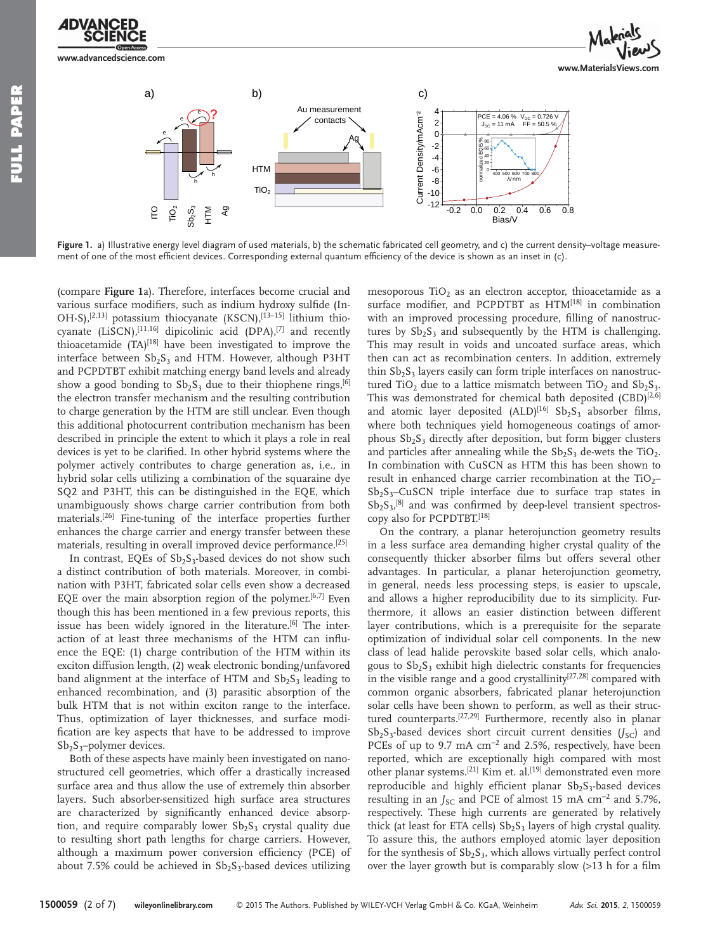**www.advancedscience.com**



**Figure 1.** a) Illustrative energy level diagram of used materials, b) the schematic fabricated cell geometry, and c) the current density–voltage measurement of one of the most efficient devices. Corresponding external quantum efficiency of the device is shown as an inset in (c).

(compare **Figure 1** a). Therefore, interfaces become crucial and various surface modifiers, such as indium hydroxy sulfide (In-OH-S),  $[2,13]$  potassium thiocyanate (KSCN),  $[13-15]$  lithium thiocyanate (LiSCN),  $[11,16]$  dipicolinic acid (DPA),  $[7]$  and recently thioacetamide  $(TA)^{[18]}$  have been investigated to improve the interface between  $Sb_2S_3$  and HTM. However, although P3HT and PCPDTBT exhibit matching energy band levels and already show a good bonding to  $Sb_2S_3$  due to their thiophene rings, <sup>[6]</sup> the electron transfer mechanism and the resulting contribution to charge generation by the HTM are still unclear. Even though this additional photocurrent contribution mechanism has been described in principle the extent to which it plays a role in real devices is yet to be clarified. In other hybrid systems where the polymer actively contributes to charge generation as, i.e., in hybrid solar cells utilizing a combination of the squaraine dye SQ2 and P3HT, this can be distinguished in the EQE, which unambiguously shows charge carrier contribution from both materials.<sup>[26]</sup> Fine-tuning of the interface properties further enhances the charge carrier and energy transfer between these materials, resulting in overall improved device performance.<sup>[25]</sup>

In contrast, EQEs of  $Sb_2S_3$ -based devices do not show such a distinct contribution of both materials. Moreover, in combination with P3HT, fabricated solar cells even show a decreased EQE over the main absorption region of the polymer.<sup>[6,7]</sup> Even though this has been mentioned in a few previous reports, this issue has been widely ignored in the literature.<sup>[6]</sup> The interaction of at least three mechanisms of the HTM can influence the EQE: (1) charge contribution of the HTM within its exciton diffusion length, (2) weak electronic bonding/unfavored band alignment at the interface of HTM and  $Sb<sub>2</sub>S<sub>3</sub>$  leading to enhanced recombination, and (3) parasitic absorption of the bulk HTM that is not within exciton range to the interface. Thus, optimization of layer thicknesses, and surface modification are key aspects that have to be addressed to improve  $Sb_2S_3$ -polymer devices.

 Both of these aspects have mainly been investigated on nanostructured cell geometries, which offer a drastically increased surface area and thus allow the use of extremely thin absorber layers. Such absorber-sensitized high surface area structures are characterized by significantly enhanced device absorption, and require comparably lower  $Sb<sub>2</sub>S<sub>3</sub>$  crystal quality due to resulting short path lengths for charge carriers. However, although a maximum power conversion efficiency (PCE) of about 7.5% could be achieved in  $Sb_2S_3$ -based devices utilizing

mesoporous  $TiO<sub>2</sub>$  as an electron acceptor, thioacetamide as a surface modifier, and PCPDTBT as HTM<sup>[18]</sup> in combination with an improved processing procedure, filling of nanostructures by  $Sb_2S_3$  and subsequently by the HTM is challenging. This may result in voids and uncoated surface areas, which then can act as recombination centers. In addition, extremely thin  $Sb<sub>2</sub>S<sub>3</sub>$  layers easily can form triple interfaces on nanostructured TiO<sub>2</sub> due to a lattice mismatch between TiO<sub>2</sub> and  $Sb_2S_3$ . This was demonstrated for chemical bath deposited  $(CBD)^{[2,6]}$ and atomic layer deposited  $(ALD)^{[16]}$  Sb<sub>2</sub>S<sub>3</sub> absorber films, where both techniques yield homogeneous coatings of amorphous  $Sb_2S_3$  directly after deposition, but form bigger clusters and particles after annealing while the  $Sb_2S_3$  de-wets the TiO<sub>2</sub>. In combination with CuSCN as HTM this has been shown to result in enhanced charge carrier recombination at the  $TiO<sub>2</sub>$  $Sb_2S_3$ -CuSCN triple interface due to surface trap states in  $Sb_2S_3$ ,<sup>[8]</sup> and was confirmed by deep-level transient spectroscopy also for PCPDTBT.[18]

 On the contrary, a planar heterojunction geometry results in a less surface area demanding higher crystal quality of the consequently thicker absorber films but offers several other advantages. In particular, a planar heterojunction geometry, in general, needs less processing steps, is easier to upscale, and allows a higher reproducibility due to its simplicity. Furthermore, it allows an easier distinction between different layer contributions, which is a prerequisite for the separate optimization of individual solar cell components. In the new class of lead halide perovskite based solar cells, which analogous to  $Sb_2S_3$  exhibit high dielectric constants for frequencies in the visible range and a good crystallinity $[27,28]$  compared with common organic absorbers, fabricated planar heterojunction solar cells have been shown to perform, as well as their structured counterparts.<sup>[27,29]</sup> Furthermore, recently also in planar  $Sb_2S_3$ -based devices short circuit current densities ( $J_{SC}$ ) and PCEs of up to 9.7 mA cm<sup>-2</sup> and 2.5%, respectively, have been reported, which are exceptionally high compared with most other planar systems.<sup>[21]</sup> Kim et. al.<sup>[19]</sup> demonstrated even more reproducible and highly efficient planar  $Sb_2S_3$ -based devices resulting in an *J*<sub>SC</sub> and PCE of almost 15 mA cm<sup>-2</sup> and 5.7%, respectively. These high currents are generated by relatively thick (at least for ETA cells)  $Sb_2S_3$  layers of high crystal quality. To assure this, the authors employed atomic layer deposition for the synthesis of  $Sb_2S_3$ , which allows virtually perfect control over the layer growth but is comparably slow  $(>13$  h for a film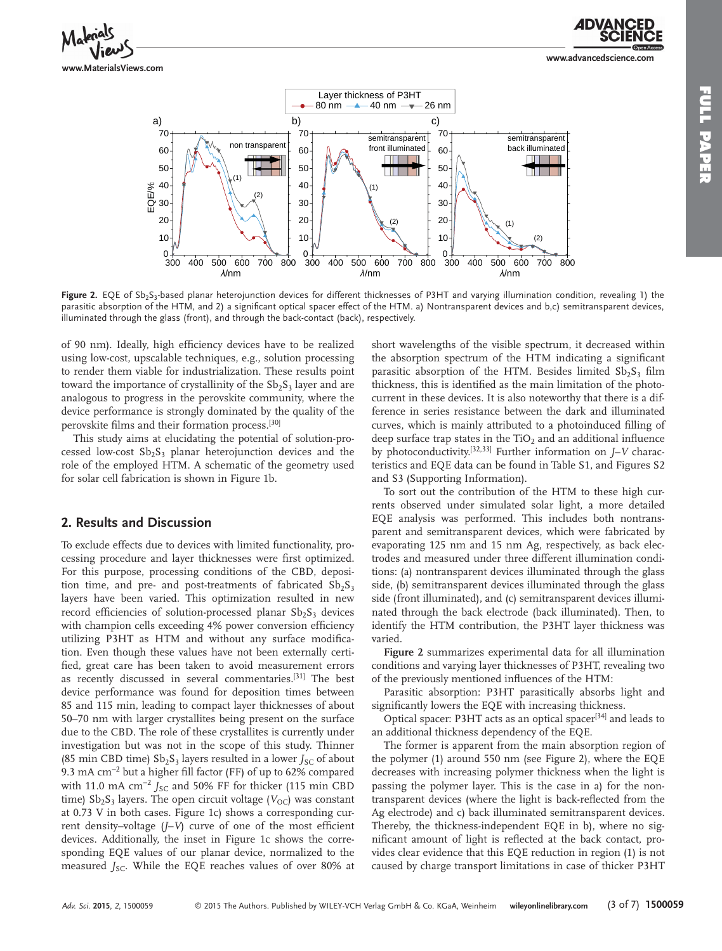

**www.advancedscience.com**



Figure 2. EQE of Sb<sub>2</sub>S<sub>3</sub>-based planar heterojunction devices for different thicknesses of P3HT and varying illumination condition, revealing 1) the parasitic absorption of the HTM, and 2) a significant optical spacer effect of the HTM. a) Nontransparent devices and b,c) semitransparent devices, illuminated through the glass (front), and through the back-contact (back), respectively.

of 90 nm). Ideally, high efficiency devices have to be realized using low-cost, upscalable techniques, e.g., solution processing to render them viable for industrialization. These results point toward the importance of crystallinity of the  $Sb_2S_3$  layer and are analogous to progress in the perovskite community, where the device performance is strongly dominated by the quality of the perovskite films and their formation process.<sup>[30]</sup>

 This study aims at elucidating the potential of solution-processed low-cost  $Sb_2S_3$  planar heterojunction devices and the role of the employed HTM. A schematic of the geometry used for solar cell fabrication is shown in Figure 1b.

## **2. Results and Discussion**

 To exclude effects due to devices with limited functionality, processing procedure and layer thicknesses were first optimized. For this purpose, processing conditions of the CBD, deposition time, and pre- and post-treatments of fabricated  $Sb_2S_3$ layers have been varied. This optimization resulted in new record efficiencies of solution-processed planar  $Sb<sub>2</sub>S<sub>3</sub>$  devices with champion cells exceeding 4% power conversion efficiency utilizing P3HT as HTM and without any surface modification. Even though these values have not been externally certified, great care has been taken to avoid measurement errors as recently discussed in several commentaries.<sup>[31]</sup> The best device performance was found for deposition times between 85 and 115 min, leading to compact layer thicknesses of about 50–70 nm with larger crystallites being present on the surface due to the CBD. The role of these crystallites is currently under investigation but was not in the scope of this study. Thinner (85 min CBD time)  $Sb_2S_3$  layers resulted in a lower  $J_{SC}$  of about 9.3 mA cm<sup>-2</sup> but a higher fill factor (FF) of up to 62% compared with 11.0 mA cm<sup>-2</sup> *J*<sub>SC</sub> and 50% FF for thicker (115 min CBD time) Sb<sub>2</sub>S<sub>3</sub> layers. The open circuit voltage (V<sub>OC</sub>) was constant at  $0.73$  V in both cases. Figure 1c) shows a corresponding current density-voltage (*J*-*V*) curve of one of the most efficient devices. Additionally, the inset in Figure 1c shows the corresponding EQE values of our planar device, normalized to the measured *J<sub>SC</sub>*. While the EQE reaches values of over 80% at

short wavelengths of the visible spectrum, it decreased within the absorption spectrum of the HTM indicating a significant parasitic absorption of the HTM. Besides limited  $Sb_2S_3$  film thickness, this is identified as the main limitation of the photocurrent in these devices. It is also noteworthy that there is a difference in series resistance between the dark and illuminated curves, which is mainly attributed to a photoinduced filling of deep surface trap states in the TiO<sub>2</sub> and an additional influence by photoconductivity.<sup>[32,33]</sup> Further information on *J*-*V* characteristics and EQE data can be found in Table S1, and Figures S2 and S3 (Supporting Information).

 To sort out the contribution of the HTM to these high currents observed under simulated solar light, a more detailed EQE analysis was performed. This includes both nontransparent and semitransparent devices, which were fabricated by evaporating 125 nm and 15 nm Ag, respectively, as back electrodes and measured under three different illumination conditions: (a) nontransparent devices illuminated through the glass side, (b) semitransparent devices illuminated through the glass side (front illuminated), and (c) semitransparent devices illuminated through the back electrode (back illuminated). Then, to identify the HTM contribution, the P3HT layer thickness was varied.

**Figure 2** summarizes experimental data for all illumination conditions and varying layer thicknesses of P3HT, revealing two of the previously mentioned influences of the HTM:

 Parasitic absorption: P3HT parasitically absorbs light and significantly lowers the EQE with increasing thickness.

Optical spacer: P3HT acts as an optical spacer<sup>[34]</sup> and leads to an additional thickness dependency of the EQE.

 The former is apparent from the main absorption region of the polymer  $(1)$  around 550 nm (see Figure 2), where the EQE decreases with increasing polymer thickness when the light is passing the polymer layer. This is the case in a) for the nontransparent devices (where the light is back-reflected from the Ag electrode) and c) back illuminated semitransparent devices. Thereby, the thickness-independent EQE in b), where no significant amount of light is reflected at the back contact, provides clear evidence that this EQE reduction in region (1) is not caused by charge transport limitations in case of thicker P3HT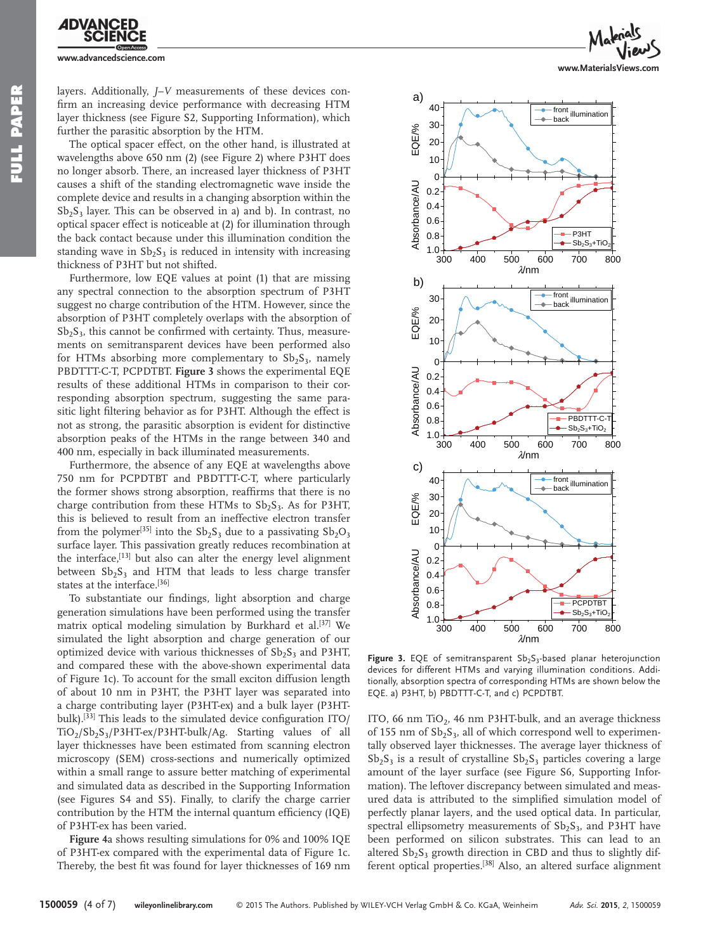

layers. Additionally, *J*-*V* measurements of these devices confirm an increasing device performance with decreasing HTM layer thickness (see Figure S2, Supporting Information), which further the parasitic absorption by the HTM.

 The optical spacer effect, on the other hand, is illustrated at wavelengths above 650 nm (2) (see Figure 2) where P3HT does no longer absorb. There, an increased layer thickness of P3HT causes a shift of the standing electromagnetic wave inside the complete device and results in a changing absorption within the  $Sb_2S_3$  layer. This can be observed in a) and b). In contrast, no optical spacer effect is noticeable at (2) for illumination through the back contact because under this illumination condition the standing wave in  $Sb<sub>2</sub>S<sub>3</sub>$  is reduced in intensity with increasing thickness of P3HT but not shifted.

 Furthermore, low EQE values at point (1) that are missing any spectral connection to the absorption spectrum of P3HT suggest no charge contribution of the HTM. However, since the absorption of P3HT completely overlaps with the absorption of  $Sb<sub>2</sub>S<sub>3</sub>$ , this cannot be confirmed with certainty. Thus, measurements on semitransparent devices have been performed also for HTMs absorbing more complementary to  $Sb<sub>2</sub>S<sub>3</sub>$ , namely PBDTTT-C-T, PCPDTBT. **Figure 3** shows the experimental EQE results of these additional HTMs in comparison to their corresponding absorption spectrum, suggesting the same parasitic light filtering behavior as for P3HT. Although the effect is not as strong, the parasitic absorption is evident for distinctive absorption peaks of the HTMs in the range between 340 and 400 nm, especially in back illuminated measurements.

 Furthermore, the absence of any EQE at wavelengths above 750 nm for PCPDTBT and PBDTTT-C-T, where particularly the former shows strong absorption, reaffirms that there is no charge contribution from these HTMs to  $Sb_2S_3$ . As for P3HT, this is believed to result from an ineffective electron transfer from the polymer<sup>[35]</sup> into the  $Sb_2S_3$  due to a passivating  $Sb_2O_3$ surface layer. This passivation greatly reduces recombination at the interface,  $[13]$  but also can alter the energy level alignment between  $Sb_2S_3$  and HTM that leads to less charge transfer states at the interface.[36]

To substantiate our findings, light absorption and charge generation simulations have been performed using the transfer matrix optical modeling simulation by Burkhard et al.<sup>[37]</sup> We simulated the light absorption and charge generation of our optimized device with various thicknesses of  $Sb_2S_3$  and P3HT, and compared these with the above-shown experimental data of Figure 1c). To account for the small exciton diffusion length of about 10 nm in P3HT, the P3HT layer was separated into a charge contributing layer (P3HT-ex) and a bulk layer (P3HTbulk).<sup>[33]</sup> This leads to the simulated device configuration ITO/  $TiO<sub>2</sub>/Sb<sub>2</sub>S<sub>3</sub>/P3HT-ex/P3HT-bulk/Ag. Starting values of all$ layer thicknesses have been estimated from scanning electron microscopy (SEM) cross-sections and numerically optimized within a small range to assure better matching of experimental and simulated data as described in the Supporting Information (see Figures S4 and S5). Finally, to clarify the charge carrier contribution by the HTM the internal quantum efficiency (IQE) of P3HT-ex has been varied.

**Figure 4** a shows resulting simulations for 0% and 100% IQE of P3HT-ex compared with the experimental data of Figure 1c. Thereby, the best fit was found for layer thicknesses of 169 nm



**www.MaterialsViews.com**



Figure 3. EQE of semitransparent Sb<sub>2</sub>S<sub>3</sub>-based planar heterojunction devices for different HTMs and varying illumination conditions. Additionally, absorption spectra of corresponding HTMs are shown below the EQE. a) P3HT, b) PBDTTT-C-T, and c) PCPDTBT.

ITO, 66 nm TiO<sub>2</sub>, 46 nm P3HT-bulk, and an average thickness of 155 nm of  $Sb_2S_3$ , all of which correspond well to experimentally observed layer thicknesses. The average layer thickness of  $Sb_2S_3$  is a result of crystalline  $Sb_2S_3$  particles covering a large amount of the layer surface (see Figure S6, Supporting Information). The leftover discrepancy between simulated and measured data is attributed to the simplified simulation model of perfectly planar layers, and the used optical data. In particular, spectral ellipsometry measurements of  $Sb<sub>2</sub>S<sub>3</sub>$ , and P3HT have been performed on silicon substrates. This can lead to an altered  $Sb_2S_3$  growth direction in CBD and thus to slightly different optical properties.<sup>[38]</sup> Also, an altered surface alignment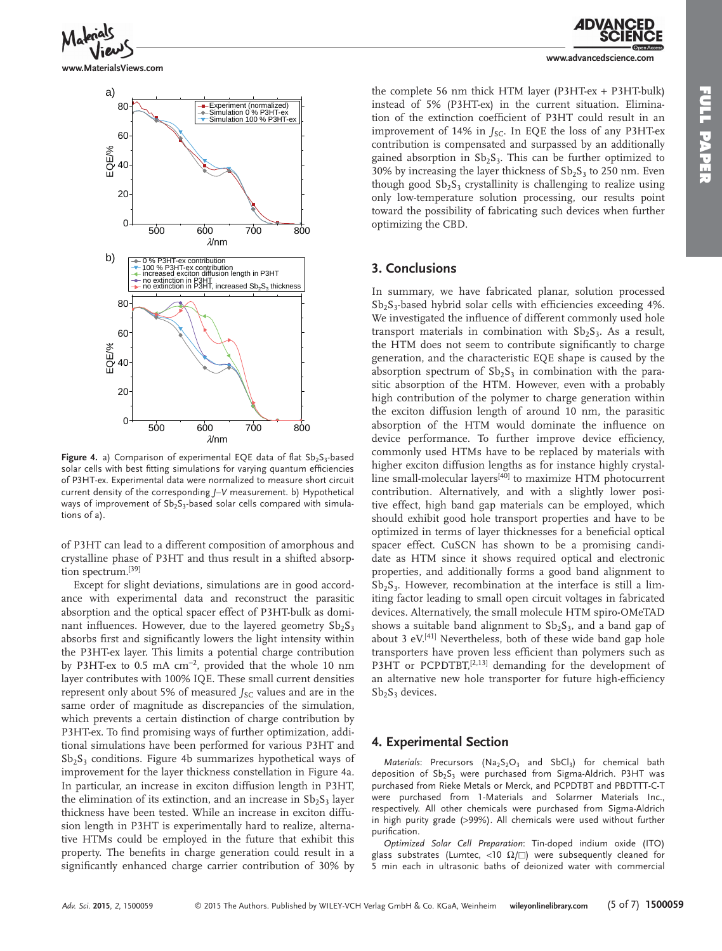**www.MaterialsViews.com**



Figure 4. a) Comparison of experimental EQE data of flat Sb<sub>2</sub>S<sub>3</sub>-based solar cells with best fitting simulations for varying quantum efficiencies of P3HT-ex. Experimental data were normalized to measure short circuit current density of the corresponding *J*-V measurement. b) Hypothetical ways of improvement of  $Sb<sub>2</sub>S<sub>3</sub>$ -based solar cells compared with simulations of a).

of P3HT can lead to a different composition of amorphous and crystalline phase of P3HT and thus result in a shifted absorption spectrum.<sup>[39]</sup>

 Except for slight deviations, simulations are in good accordance with experimental data and reconstruct the parasitic absorption and the optical spacer effect of P3HT-bulk as dominant influences. However, due to the layered geometry  $Sb_2S_3$ absorbs first and significantly lowers the light intensity within the P3HT-ex layer. This limits a potential charge contribution by P3HT-ex to  $0.5$  mA cm<sup>-2</sup>, provided that the whole 10 nm layer contributes with 100% IQE. These small current densities represent only about 5% of measured *J<sub>SC</sub>* values and are in the same order of magnitude as discrepancies of the simulation, which prevents a certain distinction of charge contribution by P3HT-ex. To find promising ways of further optimization, additional simulations have been performed for various P3HT and  $Sb<sub>2</sub>S<sub>3</sub>$  conditions. Figure 4b summarizes hypothetical ways of improvement for the layer thickness constellation in Figure 4a. In particular, an increase in exciton diffusion length in P3HT, the elimination of its extinction, and an increase in  $Sb<sub>2</sub>S<sub>3</sub>$  layer thickness have been tested. While an increase in exciton diffusion length in P3HT is experimentally hard to realize, alternative HTMs could be employed in the future that exhibit this property. The benefits in charge generation could result in a significantly enhanced charge carrier contribution of 30% by

the complete 56 nm thick HTM layer (P3HT-ex + P3HT-bulk) instead of 5% (P3HT-ex) in the current situation. Elimination of the extinction coefficient of P3HT could result in an improvement of 14% in *J<sub>SC</sub>*. In EQE the loss of any P3HT-ex contribution is compensated and surpassed by an additionally gained absorption in  $Sb_2S_3$ . This can be further optimized to 30% by increasing the layer thickness of  $Sb_2S_3$  to 250 nm. Even though good  $Sb_2S_3$  crystallinity is challenging to realize using only low-temperature solution processing, our results point toward the possibility of fabricating such devices when further optimizing the CBD.

#### **3. Conclusions**

 In summary, we have fabricated planar, solution processed  $Sb_2S_3$ -based hybrid solar cells with efficiencies exceeding 4%. We investigated the influence of different commonly used hole transport materials in combination with  $Sb_2S_3$ . As a result, the HTM does not seem to contribute significantly to charge generation, and the characteristic EQE shape is caused by the absorption spectrum of  $Sb_2S_3$  in combination with the parasitic absorption of the HTM. However, even with a probably high contribution of the polymer to charge generation within the exciton diffusion length of around 10 nm, the parasitic absorption of the HTM would dominate the influence on device performance. To further improve device efficiency, commonly used HTMs have to be replaced by materials with higher exciton diffusion lengths as for instance highly crystalline small-molecular layers<sup>[40]</sup> to maximize HTM photocurrent contribution. Alternatively, and with a slightly lower positive effect, high band gap materials can be employed, which should exhibit good hole transport properties and have to be optimized in terms of layer thicknesses for a beneficial optical spacer effect. CuSCN has shown to be a promising candidate as HTM since it shows required optical and electronic properties, and additionally forms a good band alignment to  $Sb<sub>2</sub>S<sub>3</sub>$ . However, recombination at the interface is still a limiting factor leading to small open circuit voltages in fabricated devices. Alternatively, the small molecule HTM spiro-OMeTAD shows a suitable band alignment to  $Sb<sub>2</sub>S<sub>3</sub>$ , and a band gap of about 3  $eV^{[41]}$  Nevertheless, both of these wide band gap hole transporters have proven less efficient than polymers such as P3HT or PCPDTBT, $[2,13]$  demanding for the development of an alternative new hole transporter for future high-efficiency  $Sb_2S_3$  devices.

#### **4. Experimental Section**

*Materials*: Precursors (Na<sub>2</sub>S<sub>2</sub>O<sub>3</sub> and SbCl<sub>3</sub>) for chemical bath deposition of  $Sb_2S_3$  were purchased from Sigma-Aldrich. P3HT was purchased from Rieke Metals or Merck, and PCPDTBT and PBDTTT-C-T were purchased from 1-Materials and Solarmer Materials Inc., respectively. All other chemicals were purchased from Sigma-Aldrich in high purity grade (>99%). All chemicals were used without further purification.

*Optimized Solar Cell Preparation*: Tin-doped indium oxide (ITO) glass substrates (Lumtec, <10  $\Omega/\square$ ) were subsequently cleaned for 5 min each in ultrasonic baths of deionized water with commercial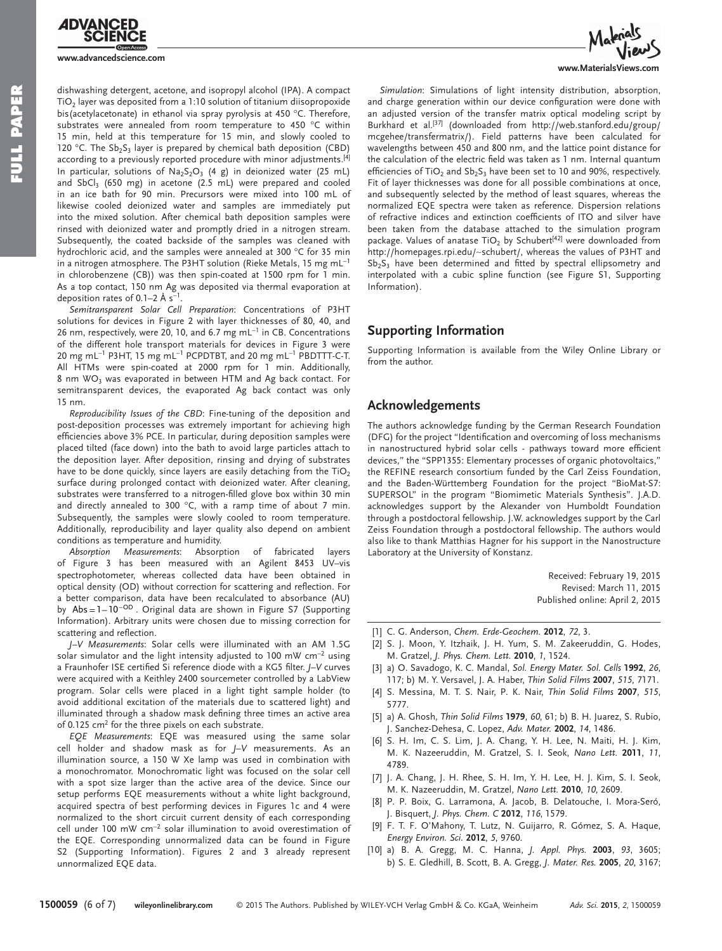

**www.advancedscience.com**

dishwashing detergent, acetone, and isopropyl alcohol (IPA). A compact  $TiO<sub>2</sub>$  layer was deposited from a 1:10 solution of titanium diisopropoxide bis(acetylacetonate) in ethanol via spray pyrolysis at 450 °C. Therefore, substrates were annealed from room temperature to 450 °C within 15 min, held at this temperature for 15 min, and slowly cooled to 120 °C. The  $Sb_2S_3$  layer is prepared by chemical bath deposition (CBD) according to a previously reported procedure with minor adjustments.<sup>[4]</sup> In particular, solutions of  $Na<sub>2</sub>S<sub>2</sub>O<sub>3</sub>$  (4 g) in deionized water (25 mL) and SbCl<sub>3</sub> (650 mg) in acetone (2.5 mL) were prepared and cooled in an ice bath for 90 min. Precursors were mixed into 100 mL of likewise cooled deionized water and samples are immediately put into the mixed solution. After chemical bath deposition samples were rinsed with deionized water and promptly dried in a nitrogen stream. Subsequently, the coated backside of the samples was cleaned with hydrochloric acid, and the samples were annealed at 300 °C for 35 min in a nitrogen atmosphere. The P3HT solution (Rieke Metals, 15 mg mL<sup>-1</sup> in chlorobenzene (CB)) was then spin-coated at 1500 rpm for 1 min. As a top contact, 150 nm Ag was deposited via thermal evaporation at deposition rates of 0.1–2 Å  $s^{-1}$ .

Semitransparent Solar Cell Preparation: Concentrations of P3HT solutions for devices in Figure 2 with layer thicknesses of 80, 40, and 26 nm, respectively, were 20, 10, and 6.7 mg mL $^{-1}$  in CB. Concentrations of the different hole transport materials for devices in Figure 3 were 20 mg mL<sup>-1</sup> P3HT, 15 mg mL<sup>-1</sup> PCPDTBT, and 20 mg mL<sup>-1</sup> PBDTTT-C-T. All HTMs were spin-coated at 2000 rpm for 1 min. Additionally, 8 nm  $WO<sub>3</sub>$  was evaporated in between HTM and Ag back contact. For semitransparent devices, the evaporated Ag back contact was only 15 nm.

Reproducibility Issues of the CBD: Fine-tuning of the deposition and post-deposition processes was extremely important for achieving high efficiencies above 3% PCE. In particular, during deposition samples were placed tilted (face down) into the bath to avoid large particles attach to the deposition layer. After deposition, rinsing and drying of substrates have to be done quickly, since layers are easily detaching from the  $TiO<sub>2</sub>$ surface during prolonged contact with deionized water. After cleaning, substrates were transferred to a nitrogen-filled glove box within 30 min and directly annealed to 300  $^{\circ}$ C, with a ramp time of about 7 min. Subsequently, the samples were slowly cooled to room temperature. Additionally, reproducibility and layer quality also depend on ambient conditions as temperature and humidity.

*Absorption Measurements* : Absorption of fabricated layers of Figure 3 has been measured with an Agilent 8453 UV–vis spectrophotometer, whereas collected data have been obtained in optical density (OD) without correction for scattering and reflection. For a better comparison, data have been recalculated to absorbance (AU) by Abs =  $1 - 10^{-OD}$ . Original data are shown in Figure S7 (Supporting Information). Arbitrary units were chosen due to missing correction for scattering and reflection.

*J–V Measurements* : Solar cells were illuminated with an AM 1.5G solar simulator and the light intensity adjusted to 100 mW cm<sup>-2</sup> using a Fraunhofer ISE certified Si reference diode with a KG5 filter. *J*–V curves were acquired with a Keithley 2400 sourcemeter controlled by a LabView program. Solar cells were placed in a light tight sample holder (to avoid additional excitation of the materials due to scattered light) and illuminated through a shadow mask defining three times an active area of 0.125  $cm<sup>2</sup>$  for the three pixels on each substrate.

*EQE Measurements* : EQE was measured using the same solar cell holder and shadow mask as for *J*-V measurements. As an illumination source, a 150 W Xe lamp was used in combination with a monochromator. Monochromatic light was focused on the solar cell with a spot size larger than the active area of the device. Since our setup performs EQE measurements without a white light background, acquired spectra of best performing devices in Figures 1c and 4 were normalized to the short circuit current density of each corresponding cell under 100 mW cm<sup>-2</sup> solar illumination to avoid overestimation of the EQE. Corresponding unnormalized data can be found in Figure S2 (Supporting Information). Figures 2 and 3 already represent unnormalized EQE data.



www.MaterialsVie

Simulation: Simulations of light intensity distribution, absorption, and charge generation within our device configuration were done with an adjusted version of the transfer matrix optical modeling script by Burkhard et al.<sup>[37]</sup> (downloaded from http://web.stanford.edu/group/ mcgehee/transfermatrix/). Field patterns have been calculated for wavelengths between 450 and 800 nm, and the lattice point distance for the calculation of the electric field was taken as 1 nm. Internal quantum efficiencies of TiO<sub>2</sub> and  $Sb_2S_3$  have been set to 10 and 90%, respectively. Fit of layer thicknesses was done for all possible combinations at once, and subsequently selected by the method of least squares, whereas the normalized EQE spectra were taken as reference. Dispersion relations of refractive indices and extinction coefficients of ITO and silver have been taken from the database attached to the simulation program package. Values of anatase  $TiO<sub>2</sub>$  by Schubert<sup>[42]</sup> were downloaded from http://homepages.rpi.edu/∼schubert/, whereas the values of P3HT and  $Sb_2S_3$  have been determined and fitted by spectral ellipsometry and interpolated with a cubic spline function (see Figure S1, Supporting Information).

## **Supporting Information**

 Supporting Information is available from the Wiley Online Library or from the author.

## **Acknowledgements**

 The authors acknowledge funding by the German Research Foundation (DFG) for the project "Identification and overcoming of loss mechanisms in nanostructured hybrid solar cells - pathways toward more efficient devices," the "SPP1355: Elementary processes of organic photovoltaics," the REFINE research consortium funded by the Carl Zeiss Foundation, and the Baden-Württemberg Foundation for the project "BioMat-S7: SUPERSOL" in the program "Biomimetic Materials Synthesis". J.A.D. acknowledges support by the Alexander von Humboldt Foundation through a postdoctoral fellowship. J.W. acknowledges support by the Carl Zeiss Foundation through a postdoctoral fellowship. The authors would also like to thank Matthias Hagner for his support in the Nanostructure Laboratory at the University of Konstanz.

> Received: February 19, 2015 Revised: March 11, 2015 Published online: April 2, 2015

- [1] C. G. Anderson, *Chem. Erde-Geochem.* **2012**, *72*, 3.
- [2] S. J. Moon, Y. Itzhaik, J. H. Yum, S. M. Zakeeruddin, G. Hodes, M. Gratzel , *J. Phys. Chem. Lett.* **2010** , *1* , 1524 .
- [3] a) O. Savadogo, K. C. Mandal, Sol. Energy Mater. Sol. Cells 1992, 26, 117; b) M. Y. Versavel, J. A. Haber, *Thin Solid Films* 2007, 515, 7171.
- [4] S. Messina, M. T. S. Nair, P. K. Nair, *Thin Solid Films* 2007, 515, 5777 .
- [5] a) A. Ghosh, *Thin Solid Films* **1979**, 60, 61; b) B. H. Juarez, S. Rubio, J. Sanchez-Dehesa , C. Lopez , *Adv. Mater.* **2002** , *14* , 1486 .
- [6] S. H. Im, C. S. Lim, J. A. Chang, Y. H. Lee, N. Maiti, H. J. Kim, M. K. Nazeeruddin, M. Gratzel, S. I. Seok, *Nano Lett.* 2011, 11, 4789 .
- [7] J. A. Chang, J. H. Rhee, S. H. Im, Y. H. Lee, H. J. Kim, S. I. Seok, M. K. Nazeeruddin , M. Gratzel , *Nano Lett.* **2010** , *10* , 2609 .
- [8] P. P. Boix, G. Larramona, A. Jacob, B. Delatouche, I. Mora-Seró, J. Bisquert , *J. Phys. Chem. C* **2012** , *116* , 1579 .
- [9] F. T. F. O'Mahony, T. Lutz, N. Guijarro, R. Gómez, S. A. Haque, *Energy Environ. Sci.* **2012** , *5* , 9760 .
- [10] a) B. A. Gregg, M. C. Hanna, J. Appl. Phys. 2003, 93, 3605; b) S. E. Gledhill, B. Scott, B. A. Gregg, J. Mater. Res. 2005, 20, 3167;